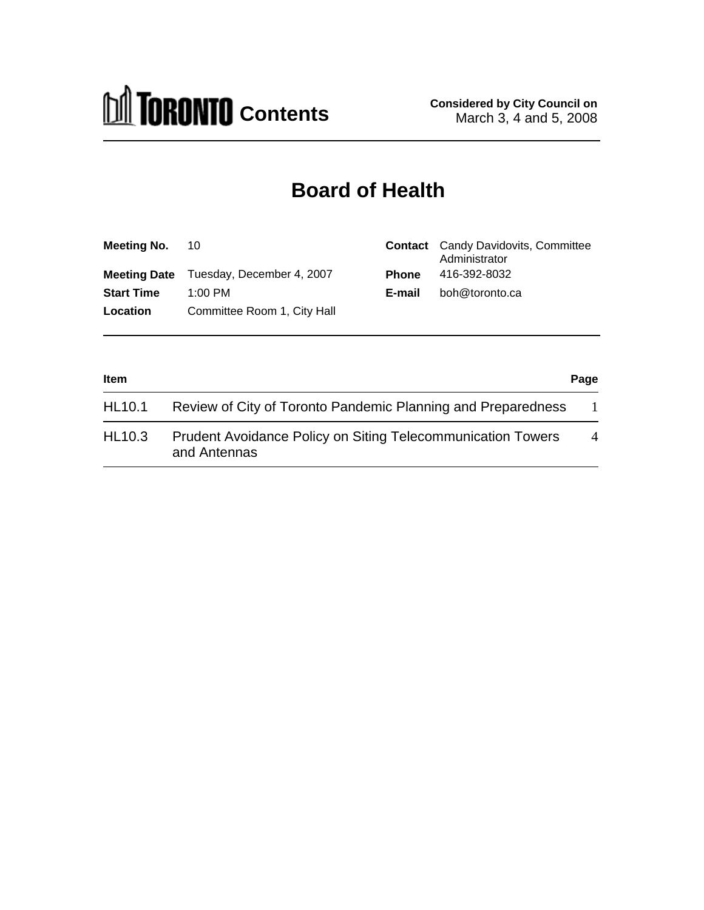

# **Board of Health**

| <b>Meeting No. 10</b> |                                               |              | <b>Contact</b> Candy Davidovits, Committee<br>Administrator |
|-----------------------|-----------------------------------------------|--------------|-------------------------------------------------------------|
|                       | <b>Meeting Date</b> Tuesday, December 4, 2007 | <b>Phone</b> | 416-392-8032                                                |
| <b>Start Time</b>     | 1:00 PM                                       | E-mail       | boh@toronto.ca                                              |
| Location              | Committee Room 1, City Hall                   |              |                                                             |

| <b>Item</b> |                                                                                    |                |
|-------------|------------------------------------------------------------------------------------|----------------|
| HL10.1      | Review of City of Toronto Pandemic Planning and Preparedness                       |                |
| HL10.3      | <b>Prudent Avoidance Policy on Siting Telecommunication Towers</b><br>and Antennas | $\overline{4}$ |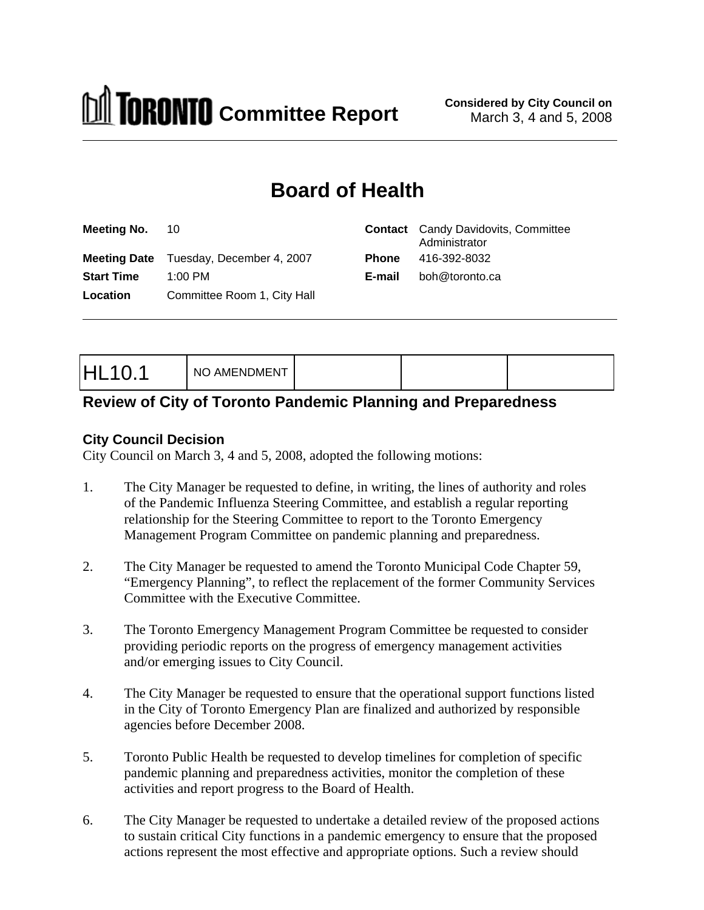

# **Board of Health**

| Meeting No. 10                          | <b>Contact</b> Candy Davidovits, Committee<br>Administrator |  |  |
|-----------------------------------------|-------------------------------------------------------------|--|--|
| Meeting Date Tuesday, December 4, 2007  | 416-392-8032<br><b>Phone</b>                                |  |  |
| <b>Start Time</b><br>1:00 PM            | E-mail boh@toronto.ca                                       |  |  |
| Committee Room 1, City Hall<br>Location |                                                             |  |  |
|                                         |                                                             |  |  |

|--|--|

## **Review of City of Toronto Pandemic Planning and Preparedness**

#### **City Council Decision**

City Council on March 3, 4 and 5, 2008, adopted the following motions:

- 1. The City Manager be requested to define, in writing, the lines of authority and roles of the Pandemic Influenza Steering Committee, and establish a regular reporting relationship for the Steering Committee to report to the Toronto Emergency Management Program Committee on pandemic planning and preparedness.
- 2. The City Manager be requested to amend the Toronto Municipal Code Chapter 59, "Emergency Planning", to reflect the replacement of the former Community Services Committee with the Executive Committee.
- 3. The Toronto Emergency Management Program Committee be requested to consider providing periodic reports on the progress of emergency management activities and/or emerging issues to City Council.
- 4. The City Manager be requested to ensure that the operational support functions listed in the City of Toronto Emergency Plan are finalized and authorized by responsible agencies before December 2008.
- 5. Toronto Public Health be requested to develop timelines for completion of specific pandemic planning and preparedness activities, monitor the completion of these activities and report progress to the Board of Health.
- 6. The City Manager be requested to undertake a detailed review of the proposed actions to sustain critical City functions in a pandemic emergency to ensure that the proposed actions represent the most effective and appropriate options. Such a review should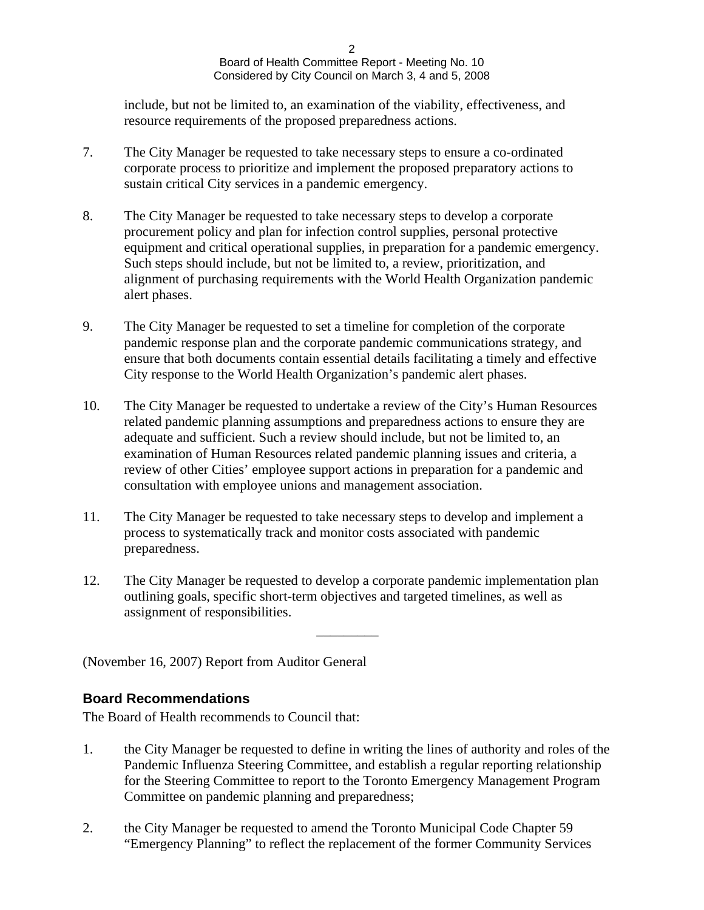2 a *2* a *2* a *2* a *2* a *2* a *2* a *2* a *2* a *2* a *2* a *2* a *2* a *2* a *2* a *2* a *2* a *2* a *2* a *2* a *2* a *2* a *2* a *2* a *2* a *2* a *2* a *2* a *2* a *2* a *2* a *2* a *2* a *2* a *2* a *2* a *2* a *2* Board of Health Committee Report - Meeting No. 10 Considered by City Council on March 3, 4 and 5, 2008

include, but not be limited to, an examination of the viability, effectiveness, and resource requirements of the proposed preparedness actions.

- 7. The City Manager be requested to take necessary steps to ensure a co-ordinated corporate process to prioritize and implement the proposed preparatory actions to sustain critical City services in a pandemic emergency.
- 8. The City Manager be requested to take necessary steps to develop a corporate procurement policy and plan for infection control supplies, personal protective equipment and critical operational supplies, in preparation for a pandemic emergency. Such steps should include, but not be limited to, a review, prioritization, and alignment of purchasing requirements with the World Health Organization pandemic alert phases.
- 9. The City Manager be requested to set a timeline for completion of the corporate pandemic response plan and the corporate pandemic communications strategy, and ensure that both documents contain essential details facilitating a timely and effective City response to the World Health Organization's pandemic alert phases.
- 10. The City Manager be requested to undertake a review of the City's Human Resources related pandemic planning assumptions and preparedness actions to ensure they are adequate and sufficient. Such a review should include, but not be limited to, an examination of Human Resources related pandemic planning issues and criteria, a review of other Cities' employee support actions in preparation for a pandemic and consultation with employee unions and management association.
- 11. The City Manager be requested to take necessary steps to develop and implement a process to systematically track and monitor costs associated with pandemic preparedness.
- 12. The City Manager be requested to develop a corporate pandemic implementation plan outlining goals, specific short-term objectives and targeted timelines, as well as assignment of responsibilities.

 $\frac{1}{2}$  ,  $\frac{1}{2}$  ,  $\frac{1}{2}$  ,  $\frac{1}{2}$  ,  $\frac{1}{2}$  ,  $\frac{1}{2}$  ,  $\frac{1}{2}$  ,  $\frac{1}{2}$  ,  $\frac{1}{2}$  ,  $\frac{1}{2}$  ,  $\frac{1}{2}$  ,  $\frac{1}{2}$  ,  $\frac{1}{2}$  ,  $\frac{1}{2}$  ,  $\frac{1}{2}$  ,  $\frac{1}{2}$  ,  $\frac{1}{2}$  ,  $\frac{1}{2}$  ,  $\frac{1$ 

(November 16, 2007) Report from Auditor General

## **Board Recommendations**

The Board of Health recommends to Council that:

- 1. the City Manager be requested to define in writing the lines of authority and roles of the Pandemic Influenza Steering Committee, and establish a regular reporting relationship for the Steering Committee to report to the Toronto Emergency Management Program Committee on pandemic planning and preparedness;
- 2. the City Manager be requested to amend the Toronto Municipal Code Chapter 59 "Emergency Planning" to reflect the replacement of the former Community Services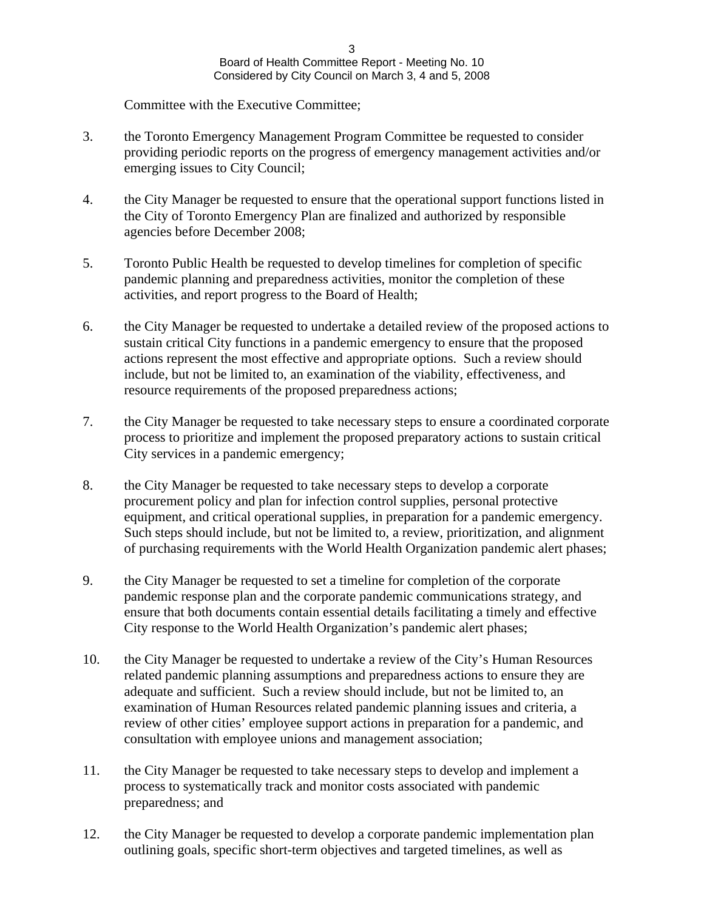Committee with the Executive Committee;

- 3. the Toronto Emergency Management Program Committee be requested to consider providing periodic reports on the progress of emergency management activities and/or emerging issues to City Council;
- 4. the City Manager be requested to ensure that the operational support functions listed in the City of Toronto Emergency Plan are finalized and authorized by responsible agencies before December 2008;
- 5. Toronto Public Health be requested to develop timelines for completion of specific pandemic planning and preparedness activities, monitor the completion of these activities, and report progress to the Board of Health;
- 6. the City Manager be requested to undertake a detailed review of the proposed actions to sustain critical City functions in a pandemic emergency to ensure that the proposed actions represent the most effective and appropriate options. Such a review should include, but not be limited to, an examination of the viability, effectiveness, and resource requirements of the proposed preparedness actions;
- 7. the City Manager be requested to take necessary steps to ensure a coordinated corporate process to prioritize and implement the proposed preparatory actions to sustain critical City services in a pandemic emergency;
- 8. the City Manager be requested to take necessary steps to develop a corporate procurement policy and plan for infection control supplies, personal protective equipment, and critical operational supplies, in preparation for a pandemic emergency. Such steps should include, but not be limited to, a review, prioritization, and alignment of purchasing requirements with the World Health Organization pandemic alert phases;
- 9. the City Manager be requested to set a timeline for completion of the corporate pandemic response plan and the corporate pandemic communications strategy, and ensure that both documents contain essential details facilitating a timely and effective City response to the World Health Organization's pandemic alert phases;
- 10. the City Manager be requested to undertake a review of the City's Human Resources related pandemic planning assumptions and preparedness actions to ensure they are adequate and sufficient. Such a review should include, but not be limited to, an examination of Human Resources related pandemic planning issues and criteria, a review of other cities' employee support actions in preparation for a pandemic, and consultation with employee unions and management association;
- 11. the City Manager be requested to take necessary steps to develop and implement a process to systematically track and monitor costs associated with pandemic preparedness; and
- 12. the City Manager be requested to develop a corporate pandemic implementation plan outlining goals, specific short-term objectives and targeted timelines, as well as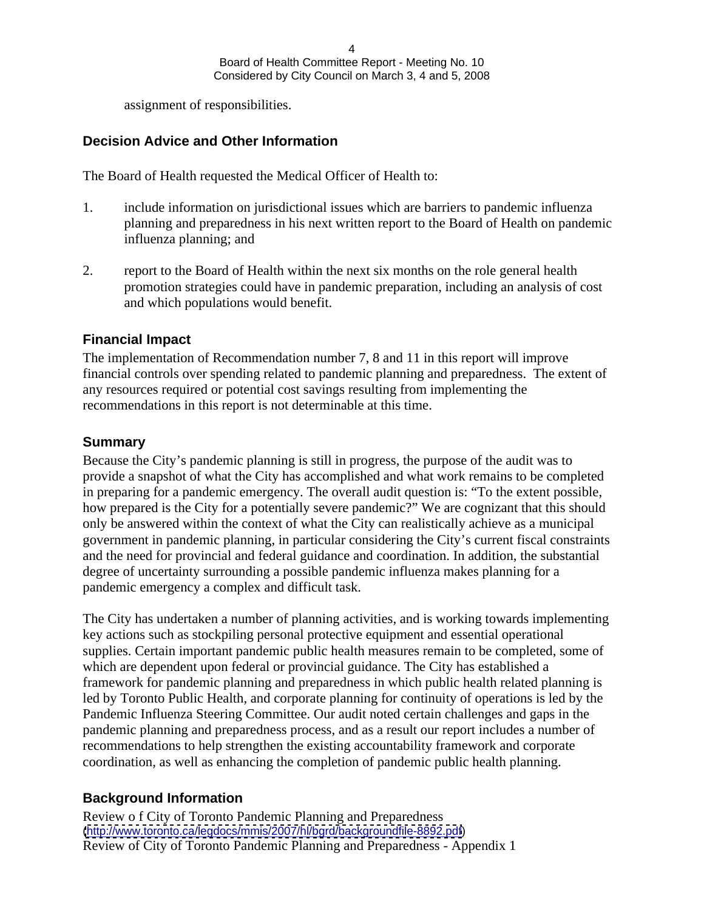4 Board of Health Committee Report - Meeting No. 10 Considered by City Council on March 3, 4 and 5, 2008

assignment of responsibilities.

#### **Decision Advice and Other Information**

The Board of Health requested the Medical Officer of Health to:

- 1. include information on jurisdictional issues which are barriers to pandemic influenza planning and preparedness in his next written report to the Board of Health on pandemic influenza planning; and
- 2. report to the Board of Health within the next six months on the role general health promotion strategies could have in pandemic preparation, including an analysis of cost and which populations would benefit.

#### **Financial Impact**

The implementation of Recommendation number 7, 8 and 11 in this report will improve financial controls over spending related to pandemic planning and preparedness. The extent of any resources required or potential cost savings resulting from implementing the recommendations in this report is not determinable at this time.

#### **Summary**

Because the City's pandemic planning is still in progress, the purpose of the audit was to provide a snapshot of what the City has accomplished and what work remains to be completed in preparing for a pandemic emergency. The overall audit question is: "To the extent possible, how prepared is the City for a potentially severe pandemic?" We are cognizant that this should only be answered within the context of what the City can realistically achieve as a municipal government in pandemic planning, in particular considering the City's current fiscal constraints and the need for provincial and federal guidance and coordination. In addition, the substantial degree of uncertainty surrounding a possible pandemic influenza makes planning for a pandemic emergency a complex and difficult task.

The City has undertaken a number of planning activities, and is working towards implementing key actions such as stockpiling personal protective equipment and essential operational supplies. Certain important pandemic public health measures remain to be completed, some of which are dependent upon federal or provincial guidance. The City has established a framework for pandemic planning and preparedness in which public health related planning is led by Toronto Public Health, and corporate planning for continuity of operations is led by the Pandemic Influenza Steering Committee. Our audit noted certain challenges and gaps in the pandemic planning and preparedness process, and as a result our report includes a number of recommendations to help strengthen the existing accountability framework and corporate coordination, as well as enhancing the completion of pandemic public health planning.

#### **Background Information**

Review o f City of Toronto Pandemic Planning and Preparedness [\(http://www.toronto.ca/legdocs/mmis/2007/hl/bgrd/backgroundfile-8892.pdf](http://www.toronto.ca/legdocs/mmis/2007/hl/bgrd/backgroundfile-8892.pdf)) Review of City of Toronto Pandemic Planning and Preparedness - Appendix 1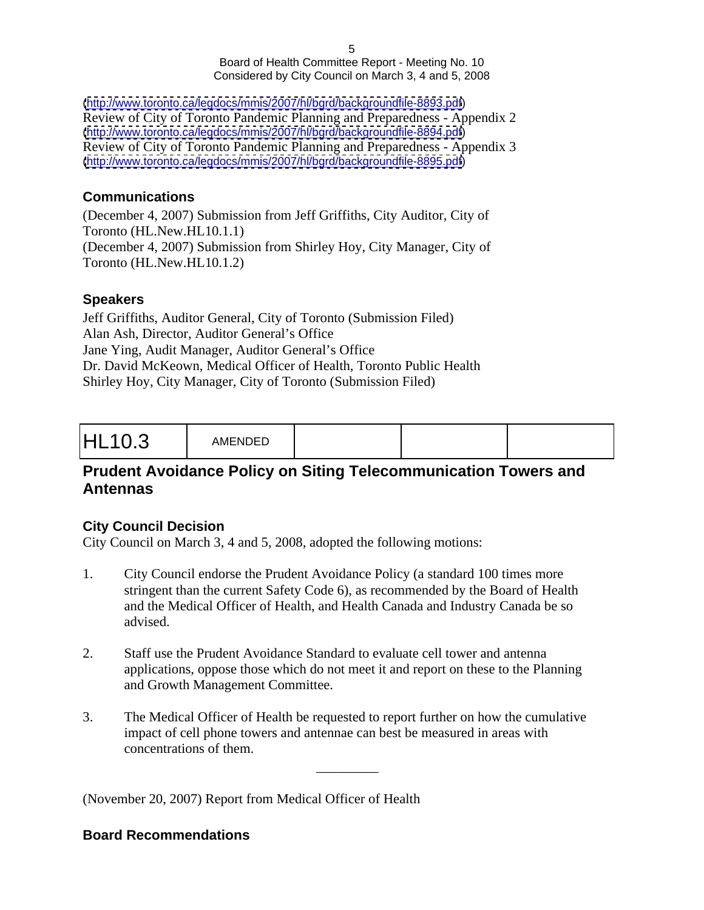$5\,$ Board of Health Committee Report - Meeting No. 10 Considered by City Council on March 3, 4 and 5, 2008

[\(http://www.toronto.ca/legdocs/mmis/2007/hl/bgrd/backgroundfile-8893.pdf](http://www.toronto.ca/legdocs/mmis/2007/hl/bgrd/backgroundfile-8893.pdf)) Review of City of Toronto Pandemic Planning and Preparedness - Appendix 2 [\(http://www.toronto.ca/legdocs/mmis/2007/hl/bgrd/backgroundfile-8894.pdf](http://www.toronto.ca/legdocs/mmis/2007/hl/bgrd/backgroundfile-8894.pdf)) Review of City of Toronto Pandemic Planning and Preparedness - Appendix 3 [\(http://www.toronto.ca/legdocs/mmis/2007/hl/bgrd/backgroundfile-8895.pdf](http://www.toronto.ca/legdocs/mmis/2007/hl/bgrd/backgroundfile-8895.pdf))

#### **Communications**

(December 4, 2007) Submission from Jeff Griffiths, City Auditor, City of Toronto (HL.New.HL10.1.1) (December 4, 2007) Submission from Shirley Hoy, City Manager, City of Toronto (HL.New.HL10.1.2)

#### **Speakers**

Jeff Griffiths, Auditor General, City of Toronto (Submission Filed) Alan Ash, Director, Auditor General's Office Jane Ying, Audit Manager, Auditor General's Office Dr. David McKeown, Medical Officer of Health, Toronto Public Health Shirley Hoy, City Manager, City of Toronto (Submission Filed)

## **Prudent Avoidance Policy on Siting Telecommunication Towers and Antennas**

## **City Council Decision**

City Council on March 3, 4 and 5, 2008, adopted the following motions:

- 1. City Council endorse the Prudent Avoidance Policy (a standard 100 times more stringent than the current Safety Code 6), as recommended by the Board of Health and the Medical Officer of Health, and Health Canada and Industry Canada be so advised.
- 2. Staff use the Prudent Avoidance Standard to evaluate cell tower and antenna applications, oppose those which do not meet it and report on these to the Planning and Growth Management Committee.
- 3. The Medical Officer of Health be requested to report further on how the cumulative impact of cell phone towers and antennae can best be measured in areas with concentrations of them.

 $\frac{1}{2}$  ,  $\frac{1}{2}$  ,  $\frac{1}{2}$  ,  $\frac{1}{2}$  ,  $\frac{1}{2}$  ,  $\frac{1}{2}$  ,  $\frac{1}{2}$  ,  $\frac{1}{2}$  ,  $\frac{1}{2}$  ,  $\frac{1}{2}$  ,  $\frac{1}{2}$  ,  $\frac{1}{2}$  ,  $\frac{1}{2}$  ,  $\frac{1}{2}$  ,  $\frac{1}{2}$  ,  $\frac{1}{2}$  ,  $\frac{1}{2}$  ,  $\frac{1}{2}$  ,  $\frac{1$ 

(November 20, 2007) Report from Medical Officer of Health

#### **Board Recommendations**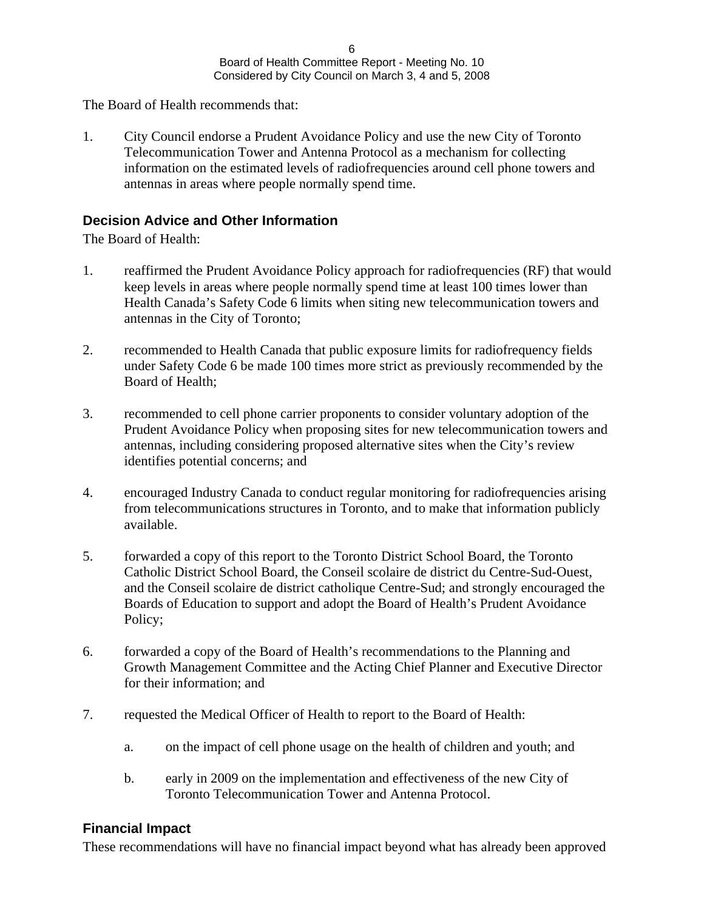The Board of Health recommends that:

1. City Council endorse a Prudent Avoidance Policy and use the new City of Toronto Telecommunication Tower and Antenna Protocol as a mechanism for collecting information on the estimated levels of radiofrequencies around cell phone towers and antennas in areas where people normally spend time.

#### **Decision Advice and Other Information**

The Board of Health:

- 1. reaffirmed the Prudent Avoidance Policy approach for radiofrequencies (RF) that would keep levels in areas where people normally spend time at least 100 times lower than Health Canada's Safety Code 6 limits when siting new telecommunication towers and antennas in the City of Toronto;
- 2. recommended to Health Canada that public exposure limits for radiofrequency fields under Safety Code 6 be made 100 times more strict as previously recommended by the Board of Health;
- 3. recommended to cell phone carrier proponents to consider voluntary adoption of the Prudent Avoidance Policy when proposing sites for new telecommunication towers and antennas, including considering proposed alternative sites when the City's review identifies potential concerns; and
- 4. encouraged Industry Canada to conduct regular monitoring for radiofrequencies arising from telecommunications structures in Toronto, and to make that information publicly available.
- 5. forwarded a copy of this report to the Toronto District School Board, the Toronto Catholic District School Board, the Conseil scolaire de district du Centre-Sud-Ouest, and the Conseil scolaire de district catholique Centre-Sud; and strongly encouraged the Boards of Education to support and adopt the Board of Health's Prudent Avoidance Policy;
- 6. forwarded a copy of the Board of Health's recommendations to the Planning and Growth Management Committee and the Acting Chief Planner and Executive Director for their information; and
- 7. requested the Medical Officer of Health to report to the Board of Health:
	- a. on the impact of cell phone usage on the health of children and youth; and
	- b. early in 2009 on the implementation and effectiveness of the new City of Toronto Telecommunication Tower and Antenna Protocol.

## **Financial Impact**

These recommendations will have no financial impact beyond what has already been approved